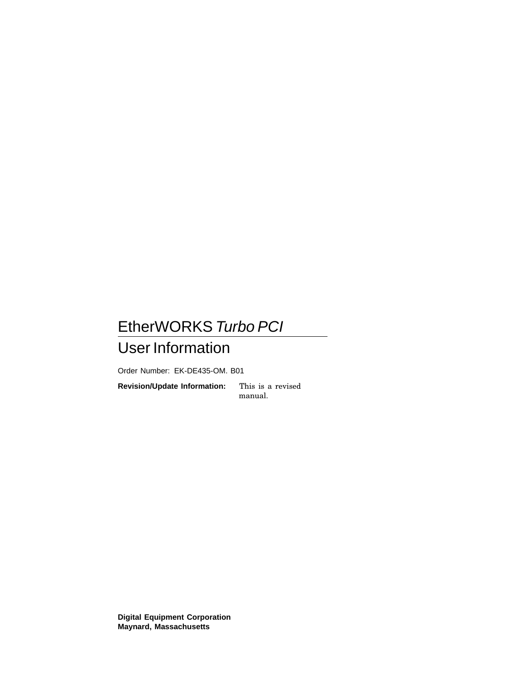### EtherWORKS Turbo PCI User Information

Order Number: EK-DE435-OM. B01

**Revision/Update Information:** This is a revised manual.

**Digital Equipment Corporation Maynard, Massachusetts**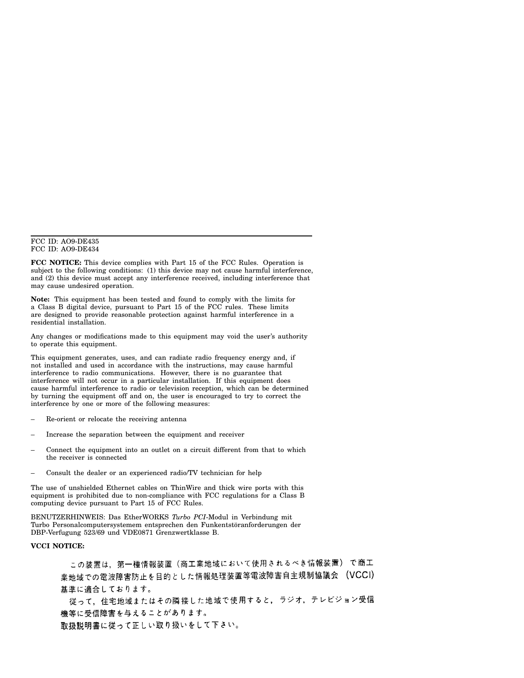#### FCC ID: AO9-DE435 FCC ID: AO9-DE434

**FCC NOTICE:** This device complies with Part 15 of the FCC Rules. Operation is subject to the following conditions: (1) this device may not cause harmful interference, and (2) this device must accept any interference received, including interference that may cause undesired operation.

**Note:** This equipment has been tested and found to comply with the limits for a Class B digital device, pursuant to Part 15 of the FCC rules. These limits are designed to provide reasonable protection against harmful interference in a residential installation.

Any changes or modifications made to this equipment may void the user's authority to operate this equipment.

This equipment generates, uses, and can radiate radio frequency energy and, if not installed and used in accordance with the instructions, may cause harmful interference to radio communications. However, there is no guarantee that interference will not occur in a particular installation. If this equipment does cause harmful interference to radio or television reception, which can be determined by turning the equipment off and on, the user is encouraged to try to correct the interference by one or more of the following measures:

- Re-orient or relocate the receiving antenna
- Increase the separation between the equipment and receiver
- Connect the equipment into an outlet on a circuit different from that to which the receiver is connected
- Consult the dealer or an experienced radio/TV technician for help

The use of unshielded Ethernet cables on ThinWire and thick wire ports with this equipment is prohibited due to non-compliance with FCC regulations for a Class B computing device pursuant to Part 15 of FCC Rules.

BENUTZERHINWEIS: Das EtherWORKS *Turbo PCI*-Modul in Verbindung mit Turbo Personalcomputersystemem entsprechen den Funkentstöranforderungen der DBP-Verfugung 523/69 und VDE0871 Grenzwertklasse B.

### **VCCI NOTICE:**

この装置は,第一種情報装置(商工業地域において使用されるべき情報装置) で商工 業地域での電波障害防止を目的とした情報処理装置等電波障害自主規制協議会 (VCCI) 基準に適合しております。

従って、住宅地域またはその隣接した地域で使用すると、ラジオ、テレビジョン受信 機等に受信障害を与えることがあります。

取扱説明書に従って正しい取り扱いをして下さい。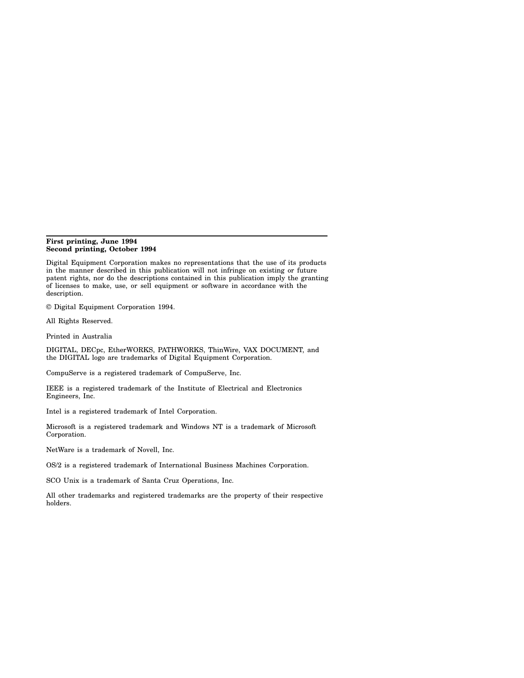#### **First printing, June 1994 Second printing, October 1994**

Digital Equipment Corporation makes no representations that the use of its products in the manner described in this publication will not infringe on existing or future patent rights, nor do the descriptions contained in this publication imply the granting of licenses to make, use, or sell equipment or software in accordance with the description.

© Digital Equipment Corporation 1994.

All Rights Reserved.

Printed in Australia

DIGITAL, DECpc, EtherWORKS, PATHWORKS, ThinWire, VAX DOCUMENT, and the DIGITAL logo are trademarks of Digital Equipment Corporation.

CompuServe is a registered trademark of CompuServe, Inc.

IEEE is a registered trademark of the Institute of Electrical and Electronics Engineers, Inc.

Intel is a registered trademark of Intel Corporation.

Microsoft is a registered trademark and Windows NT is a trademark of Microsoft Corporation.

NetWare is a trademark of Novell, Inc.

OS/2 is a registered trademark of International Business Machines Corporation.

SCO Unix is a trademark of Santa Cruz Operations, Inc.

All other trademarks and registered trademarks are the property of their respective holders.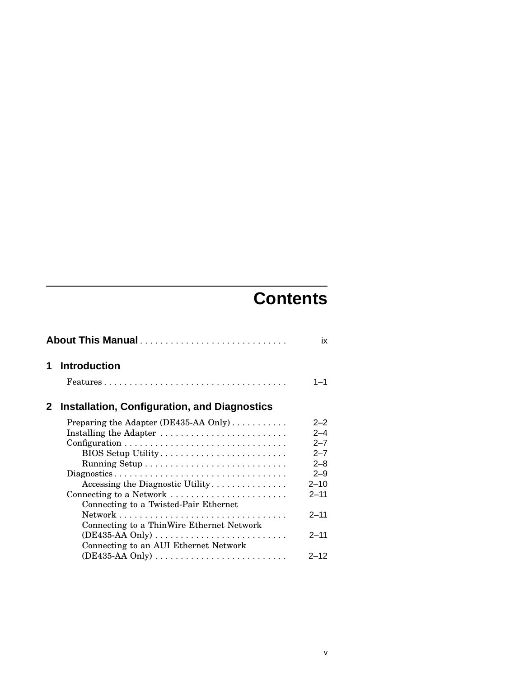# **Contents**

|   | About This Manual                                                          |          |
|---|----------------------------------------------------------------------------|----------|
| 1 | <b>Introduction</b>                                                        |          |
|   |                                                                            | 1—1      |
| 2 | <b>Installation, Configuration, and Diagnostics</b>                        |          |
|   | Preparing the Adapter (DE435-AA Only)                                      | $2 - 2$  |
|   | Installing the Adapter                                                     | $2 - 4$  |
|   |                                                                            | $2 - 7$  |
|   | BIOS Setup Utility                                                         | $2 - 7$  |
|   |                                                                            | $2 - 8$  |
|   |                                                                            | $2 - 9$  |
|   | Accessing the Diagnostic Utility                                           | $2 - 10$ |
|   | Connecting to a Network                                                    | $2 - 11$ |
|   | Connecting to a Twisted-Pair Ethernet                                      |          |
|   |                                                                            | $2 - 11$ |
|   | Connecting to a ThinWire Ethernet Network                                  |          |
|   | $(DE435-AA \text{ Only}) \ldots \ldots \ldots \ldots \ldots \ldots \ldots$ | $2 - 11$ |
|   | Connecting to an AUI Ethernet Network                                      |          |
|   |                                                                            | $2 - 12$ |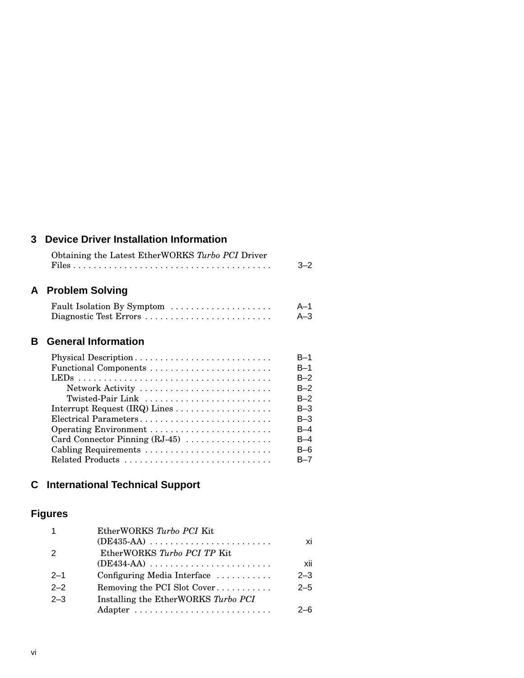### **3 Device Driver Installation Information**

| Obtaining the Latest EtherWORKS Turbo PCI Driver |         |
|--------------------------------------------------|---------|
|                                                  | $3 - 2$ |

### **A Problem Solving**

| Fault Isolation By Symptom | A-1   |
|----------------------------|-------|
| Diagnostic Test Errors     | $A-3$ |

### **B General Information**

| Physical Description           | $B-1$   |
|--------------------------------|---------|
| Functional Components          | $B-1$   |
|                                | $B-2$   |
| Network Activity               | $B-2$   |
| Twisted-Pair Link              | $B-2$   |
|                                | $B-3$   |
| Electrical Parameters          | $B-3$   |
|                                | $B-4$   |
| Card Connector Pinning (RJ-45) | B-4     |
| Cabling Requirements           | $B-6$   |
|                                | $B - 7$ |

### **C International Technical Support**

### **Figures**

|                | EtherWORKS Turbo PCI Kit            |         |
|----------------|-------------------------------------|---------|
|                |                                     | xi      |
| $\overline{2}$ | EtherWORKS Turbo PCI TP Kit         |         |
|                |                                     | xii     |
| $2 - 1$        | Configuring Media Interface         | $2 - 3$ |
| $2 - 2$        | Removing the PCI Slot Cover         | $2 - 5$ |
| $2 - 3$        | Installing the EtherWORKS Turbo PCI |         |
|                |                                     | $2 - 6$ |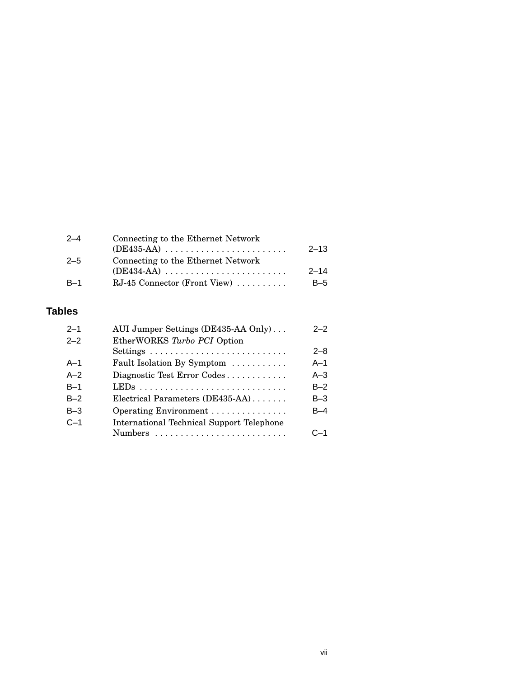| $2 - 4$ | Connecting to the Ethernet Network |          |
|---------|------------------------------------|----------|
|         |                                    | $2 - 13$ |
| $2 - 5$ | Connecting to the Ethernet Network |          |
|         |                                    | $2 - 14$ |
| $B-1$   | $RJ-45$ Connector (Front View)     | $B-5$    |
|         |                                    |          |

### **Tables**

| $2 - 1$ | AUI Jumper Settings (DE435-AA Only)              | $2 - 2$ |
|---------|--------------------------------------------------|---------|
| $2 - 2$ | EtherWORKS Turbo PCI Option                      |         |
|         |                                                  | $2 - 8$ |
| $A-1$   | Fault Isolation By Symptom                       | $A-1$   |
| $A-2$   | Diagnostic Test Error Codes                      | $A - 3$ |
| $B-1$   |                                                  | $B-2$   |
| $B-2$   | Electrical Parameters (DE435-AA)                 | $B-3$   |
| $B-3$   | Operating Environment                            | $B-4$   |
| $C-1$   | <b>International Technical Support Telephone</b> |         |
|         |                                                  | $C - 1$ |
|         |                                                  |         |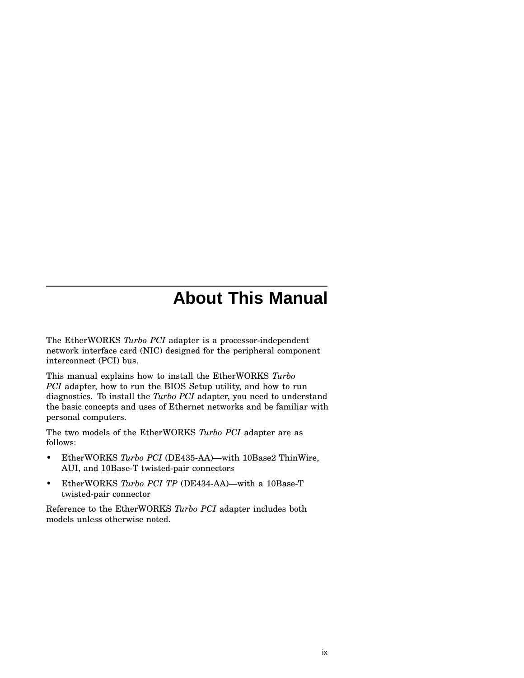## **About This Manual**

The EtherWORKS *Turbo PCI* adapter is a processor-independent network interface card (NIC) designed for the peripheral component interconnect (PCI) bus.

This manual explains how to install the EtherWORKS *Turbo PCI* adapter, how to run the BIOS Setup utility, and how to run diagnostics. To install the *Turbo PCI* adapter, you need to understand the basic concepts and uses of Ethernet networks and be familiar with personal computers.

The two models of the EtherWORKS *Turbo PCI* adapter are as follows:

- EtherWORKS *Turbo PCI* (DE435-AA)—with 10Base2 ThinWire, AUI, and 10Base-T twisted-pair connectors
- EtherWORKS *Turbo PCI TP* (DE434-AA)—with a 10Base-T twisted-pair connector

Reference to the EtherWORKS *Turbo PCI* adapter includes both models unless otherwise noted.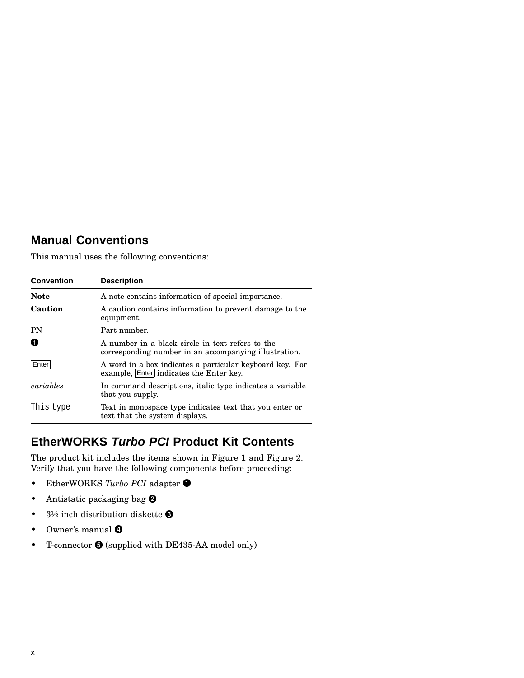### **Manual Conventions**

This manual uses the following conventions:

| <b>Convention</b> | <b>Description</b>                                                                                        |
|-------------------|-----------------------------------------------------------------------------------------------------------|
| <b>Note</b>       | A note contains information of special importance.                                                        |
| Caution           | A caution contains information to prevent damage to the<br>equipment.                                     |
| PN                | Part number.                                                                                              |
| O                 | A number in a black circle in text refers to the<br>corresponding number in an accompanying illustration. |
| Enter             | A word in a box indicates a particular keyboard key. For<br>example, Enter indicates the Enter key.       |
| variables         | In command descriptions, italic type indicates a variable<br>that you supply.                             |
| This type         | Text in monospace type indicates text that you enter or<br>text that the system displays.                 |

### **EtherWORKS Turbo PCI Product Kit Contents**

The product kit includes the items shown in Figure 1 and Figure 2. Verify that you have the following components before proceeding:

- EtherWORKS *Turbo PCI* adapter
- Antistatic packaging bag <sup>@</sup>
- 3½ inch distribution diskette  $\bigcirc$
- Owner's manual  $\bullet$
- T-connector  $\bigcirc$  (supplied with DE435-AA model only)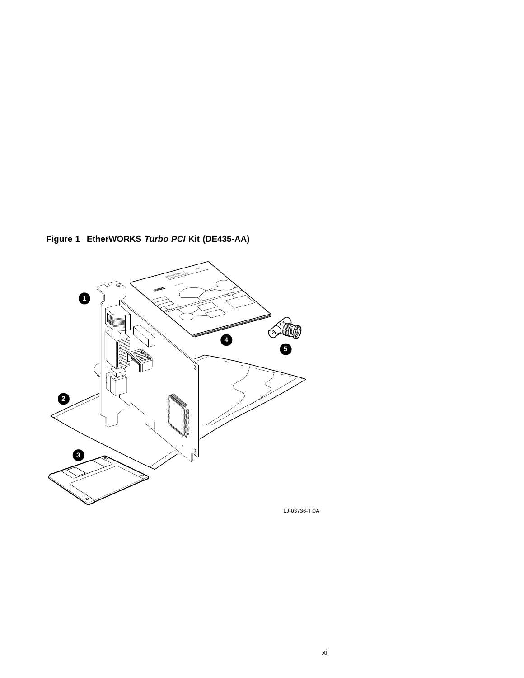**Figure 1 EtherWORKS Turbo PCI Kit (DE435-AA)**



LJ-03736-TI0A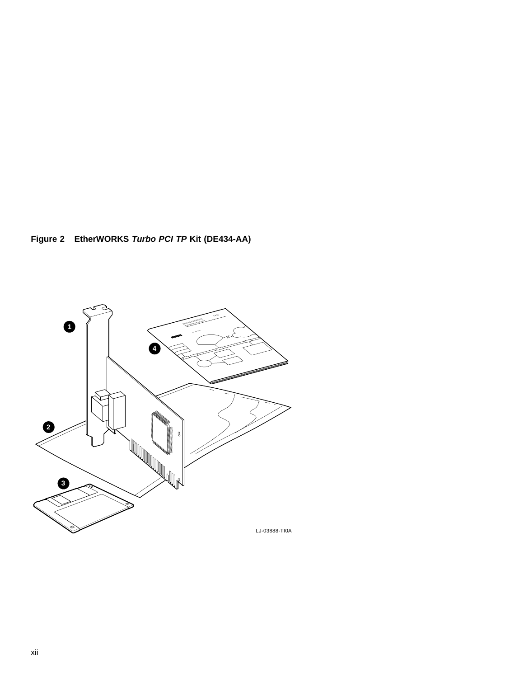**Figure 2 EtherWORKS Turbo PCI TP Kit (DE434-AA)**

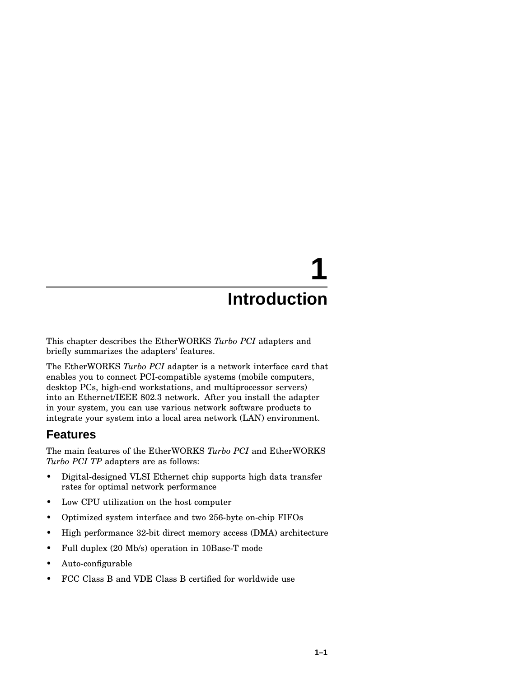# **1**

## **Introduction**

This chapter describes the EtherWORKS *Turbo PCI* adapters and briefly summarizes the adapters' features.

The EtherWORKS *Turbo PCI* adapter is a network interface card that enables you to connect PCI-compatible systems (mobile computers, desktop PCs, high-end workstations, and multiprocessor servers) into an Ethernet/IEEE 802.3 network. After you install the adapter in your system, you can use various network software products to integrate your system into a local area network (LAN) environment.

### **Features**

The main features of the EtherWORKS *Turbo PCI* and EtherWORKS *Turbo PCI TP* adapters are as follows:

- Digital-designed VLSI Ethernet chip supports high data transfer rates for optimal network performance
- Low CPU utilization on the host computer
- Optimized system interface and two 256-byte on-chip FIFOs
- High performance 32-bit direct memory access (DMA) architecture
- Full duplex (20 Mb/s) operation in 10Base-T mode
- Auto-configurable
- FCC Class B and VDE Class B certified for worldwide use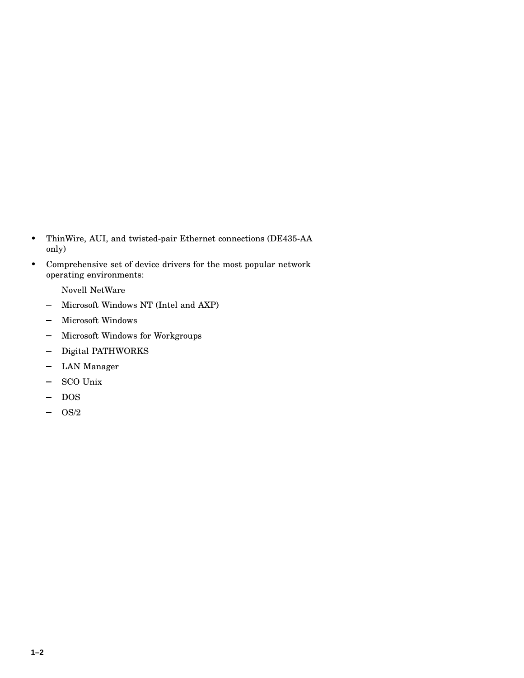- ThinWire, AUI, and twisted-pair Ethernet connections (DE435-AA only)
- Comprehensive set of device drivers for the most popular network operating environments:
	- $\equiv$ Novell NetWare
	- Microsoft Windows NT (Intel and AXP)  $\equiv$
	- Microsoft Windows  $\overline{\phantom{0}}$
	- Microsoft Windows for Workgroups  $\overline{\phantom{0}}$
	- Digital PATHWORKS  $\overline{\phantom{0}}$
	- LAN Manager
	- SCO Unix  $\overline{\phantom{0}}$
	- DOS  $\qquad \qquad \blacksquare$
	- OS/2  $\overline{\phantom{0}}$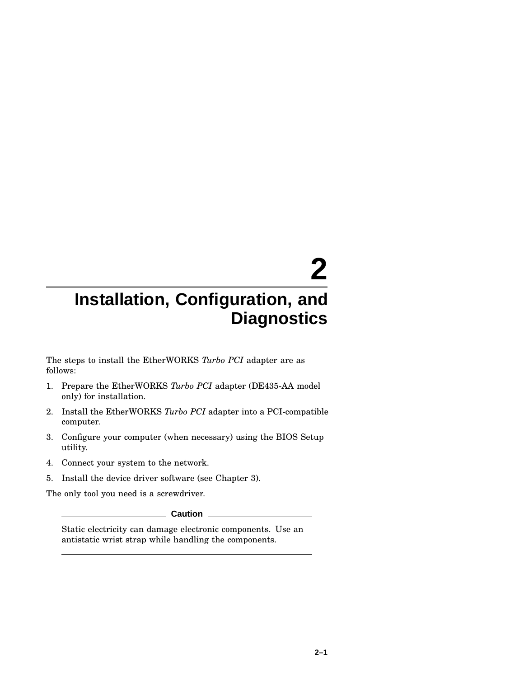# **2**

## **Installation, Configuration, and Diagnostics**

The steps to install the EtherWORKS *Turbo PCI* adapter are as follows:

- 1. Prepare the EtherWORKS *Turbo PCI* adapter (DE435-AA model only) for installation.
- 2. Install the EtherWORKS *Turbo PCI* adapter into a PCI-compatible computer.
- 3. Configure your computer (when necessary) using the BIOS Setup utility.
- 4. Connect your system to the network.
- 5. Install the device driver software (see Chapter 3).

The only tool you need is a screwdriver.

**Caution**

Static electricity can damage electronic components. Use an antistatic wrist strap while handling the components.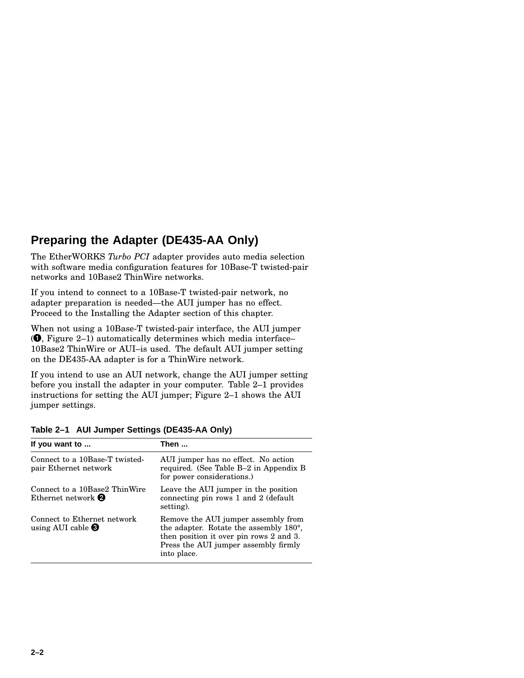### **Preparing the Adapter (DE435-AA Only)**

The EtherWORKS *Turbo PCI* adapter provides auto media selection with software media configuration features for 10Base-T twisted-pair networks and 10Base2 ThinWire networks.

If you intend to connect to a 10Base-T twisted-pair network, no adapter preparation is needed—the AUI jumper has no effect. Proceed to the Installing the Adapter section of this chapter.

When not using a 10Base-T twisted-pair interface, the AUI jumper ( , Figure 2–1) automatically determines which media interface– 10Base2 ThinWire or AUI–is used. The default AUI jumper setting on the DE435-AA adapter is for a ThinWire network.

If you intend to use an AUI network, change the AUI jumper setting before you install the adapter in your computer. Table 2–1 provides instructions for setting the AUI jumper; Figure 2–1 shows the AUI jumper settings.

| If you want to                                                     | Then                                                                                                                                                                                         |
|--------------------------------------------------------------------|----------------------------------------------------------------------------------------------------------------------------------------------------------------------------------------------|
| Connect to a 10Base-T twisted-<br>pair Ethernet network            | AUI jumper has no effect. No action<br>required. (See Table B-2 in Appendix B<br>for power considerations.)                                                                                  |
| Connect to a 10Base2 ThinWire<br>Ethernet network $\boldsymbol{Q}$ | Leave the AUI jumper in the position<br>connecting pin rows 1 and 2 (default)<br>setting).                                                                                                   |
| Connect to Ethernet network<br>using AUI cable $\bigcirc$          | Remove the AUI jumper assembly from<br>the adapter. Rotate the assembly 180 <sup>°</sup> ,<br>then position it over pin rows 2 and 3.<br>Press the AUI jumper assembly firmly<br>into place. |

**Table 2–1 AUI Jumper Settings (DE435-AA Only)**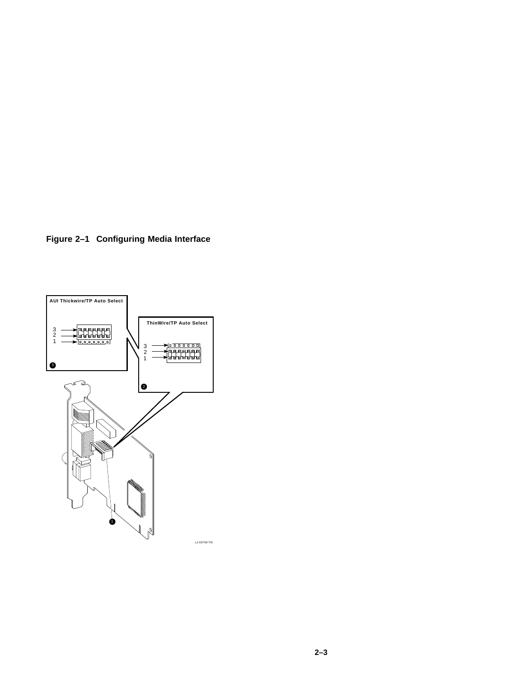**Figure 2–1 Configuring Media Interface**

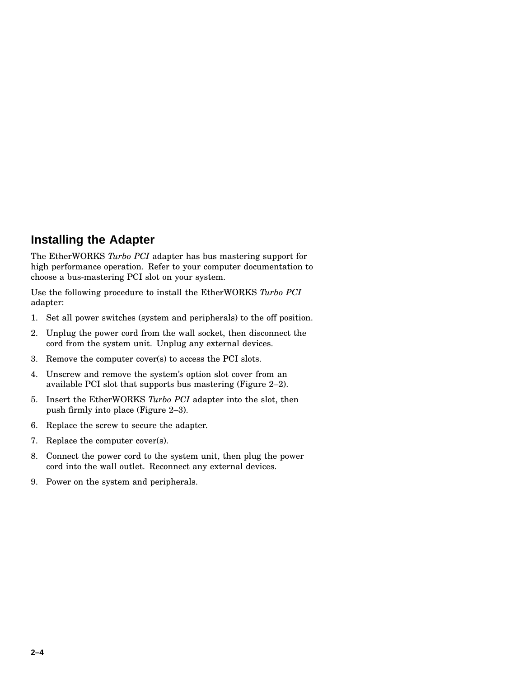### **Installing the Adapter**

The EtherWORKS *Turbo PCI* adapter has bus mastering support for high performance operation. Refer to your computer documentation to choose a bus-mastering PCI slot on your system.

Use the following procedure to install the EtherWORKS *Turbo PCI* adapter:

- 1. Set all power switches (system and peripherals) to the off position.
- 2. Unplug the power cord from the wall socket, then disconnect the cord from the system unit. Unplug any external devices.
- 3. Remove the computer cover(s) to access the PCI slots.
- 4. Unscrew and remove the system's option slot cover from an available PCI slot that supports bus mastering (Figure 2–2).
- 5. Insert the EtherWORKS *Turbo PCI* adapter into the slot, then push firmly into place (Figure 2–3).
- 6. Replace the screw to secure the adapter.
- 7. Replace the computer cover(s).
- 8. Connect the power cord to the system unit, then plug the power cord into the wall outlet. Reconnect any external devices.
- 9. Power on the system and peripherals.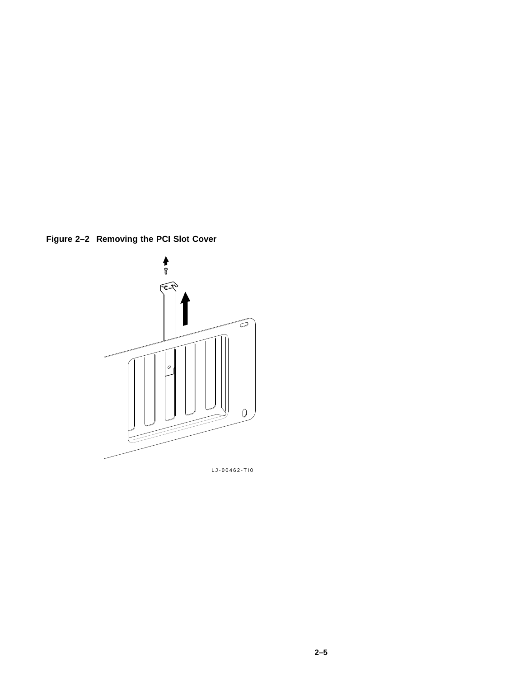**Figure 2–2 Removing the PCI Slot Cover**



LJ-00462-TI0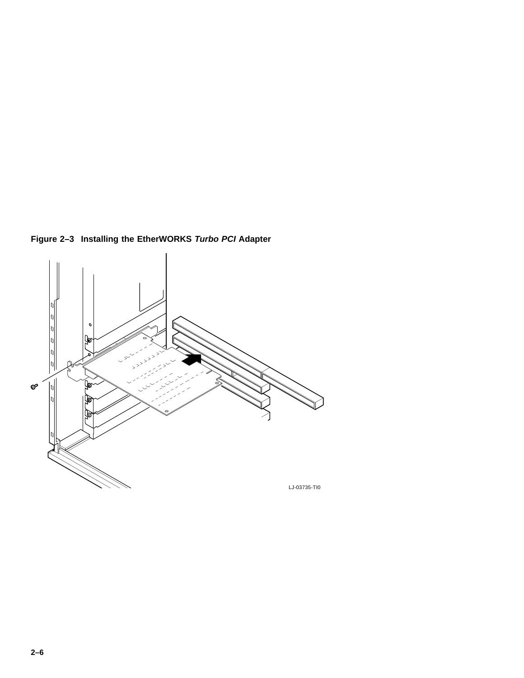**Figure 2–3 Installing the EtherWORKS Turbo PCI Adapter**

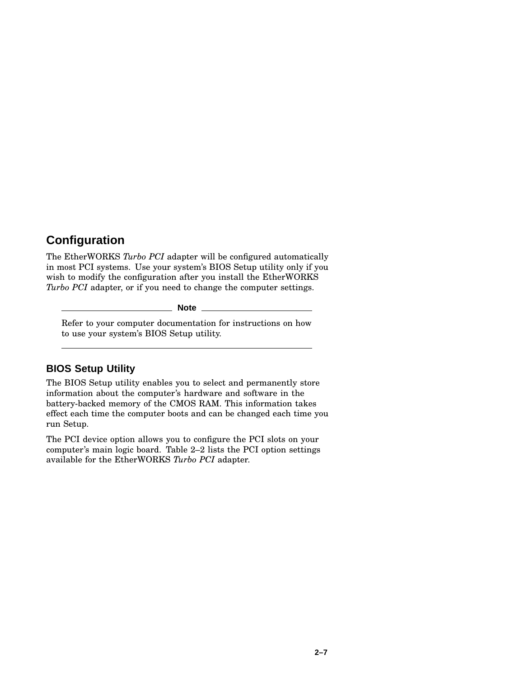### **Configuration**

The EtherWORKS *Turbo PCI* adapter will be configured automatically in most PCI systems. Use your system's BIOS Setup utility only if you wish to modify the configuration after you install the EtherWORKS *Turbo PCI* adapter, or if you need to change the computer settings.

**Note**

Refer to your computer documentation for instructions on how to use your system's BIOS Setup utility.

### **BIOS Setup Utility**

The BIOS Setup utility enables you to select and permanently store information about the computer's hardware and software in the battery-backed memory of the CMOS RAM. This information takes effect each time the computer boots and can be changed each time you run Setup.

The PCI device option allows you to configure the PCI slots on your computer's main logic board. Table 2–2 lists the PCI option settings available for the EtherWORKS *Turbo PCI* adapter.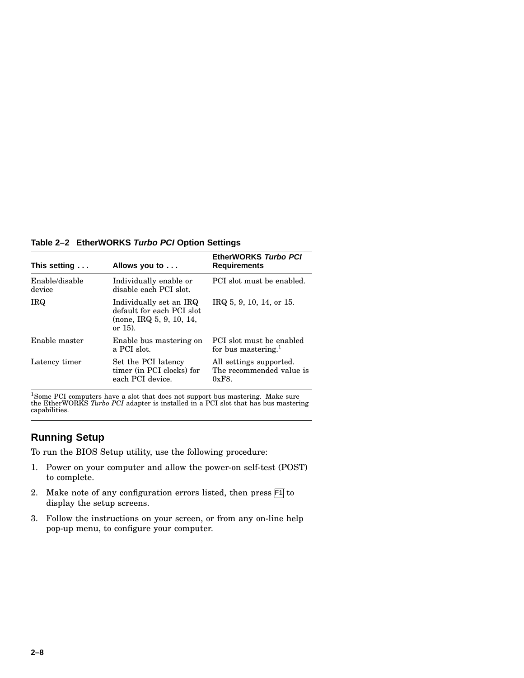**Table 2–2 EtherWORKS Turbo PCI Option Settings**

| This setting             | Allows you to                                                                                     | EtherWORKS Turbo PCI<br><b>Requirements</b>                  |
|--------------------------|---------------------------------------------------------------------------------------------------|--------------------------------------------------------------|
| Enable/disable<br>device | Individually enable or<br>disable each PCI slot.                                                  | PCI slot must be enabled.                                    |
| IRQ.                     | Individually set an IRQ<br>default for each PCI slot<br>(none, IRQ, 5, 9, 10, 14, )<br>or $15$ ). | IRQ 5, 9, 10, 14, or 15.                                     |
| Enable master            | Enable bus mastering on<br>a PCI slot.                                                            | PCI slot must be enabled<br>for bus mastering. $1$           |
| Latency timer            | Set the PCI latency<br>timer (in PCI clocks) for<br>each PCI device.                              | All settings supported.<br>The recommended value is<br>0xF8. |

<sup>1</sup>Some PCI computers have a slot that does not support bus mastering. Make sure the EtherWORKS *Turbo PCI* adapter is installed in a PCI slot that has bus mastering capabilities.

### **Running Setup**

To run the BIOS Setup utility, use the following procedure:

- 1. Power on your computer and allow the power-on self-test (POST) to complete.
- 2. Make note of any configuration errors listed, then press  $\boxed{51}$  to display the setup screens.
- 3. Follow the instructions on your screen, or from any on-line help pop-up menu, to configure your computer.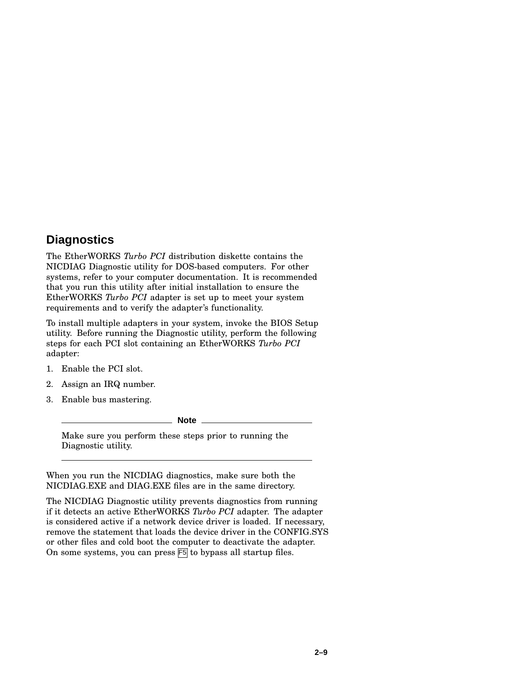### **Diagnostics**

The EtherWORKS *Turbo PCI* distribution diskette contains the NICDIAG Diagnostic utility for DOS-based computers. For other systems, refer to your computer documentation. It is recommended that you run this utility after initial installation to ensure the EtherWORKS *Turbo PCI* adapter is set up to meet your system requirements and to verify the adapter's functionality.

To install multiple adapters in your system, invoke the BIOS Setup utility. Before running the Diagnostic utility, perform the following steps for each PCI slot containing an EtherWORKS *Turbo PCI* adapter:

- 1. Enable the PCI slot.
- 2. Assign an IRQ number.
- 3. Enable bus mastering.

**Note**

Make sure you perform these steps prior to running the Diagnostic utility.

When you run the NICDIAG diagnostics, make sure both the NICDIAG.EXE and DIAG.EXE files are in the same directory.

The NICDIAG Diagnostic utility prevents diagnostics from running if it detects an active EtherWORKS *Turbo PCI* adapter. The adapter is considered active if a network device driver is loaded. If necessary, remove the statement that loads the device driver in the CONFIG.SYS or other files and cold boot the computer to deactivate the adapter. On some systems, you can press F5 to bypass all startup files.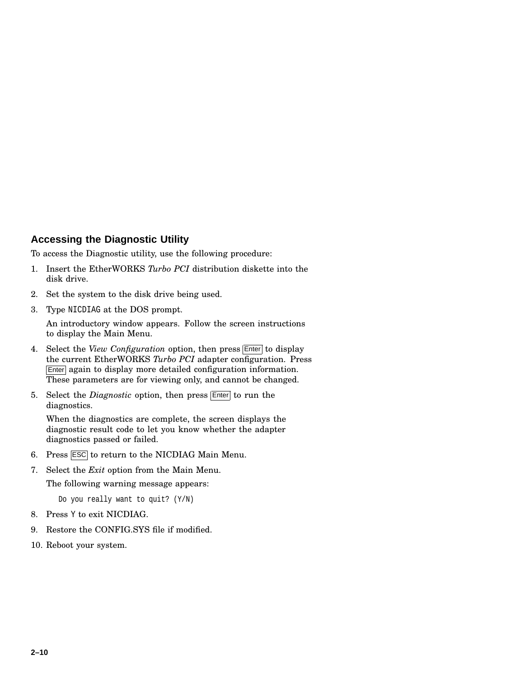### **Accessing the Diagnostic Utility**

To access the Diagnostic utility, use the following procedure:

- 1. Insert the EtherWORKS *Turbo PCI* distribution diskette into the disk drive.
- 2. Set the system to the disk drive being used.
- 3. Type NICDIAG at the DOS prompt.

An introductory window appears. Follow the screen instructions to display the Main Menu.

- 4. Select the *View Configuration* option, then press **Enter** to display the current EtherWORKS *Turbo PCI* adapter configuration. Press Enter again to display more detailed configuration information. These parameters are for viewing only, and cannot be changed.
- 5. Select the *Diagnostic* option, then press Enter to run the diagnostics.

When the diagnostics are complete, the screen displays the diagnostic result code to let you know whether the adapter diagnostics passed or failed.

- 6. Press ESC to return to the NICDIAG Main Menu.
- 7. Select the *Exit* option from the Main Menu.

The following warning message appears:

Do you really want to quit? (Y/N)

- 8. Press Y to exit NICDIAG.
- 9. Restore the CONFIG.SYS file if modified.
- 10. Reboot your system.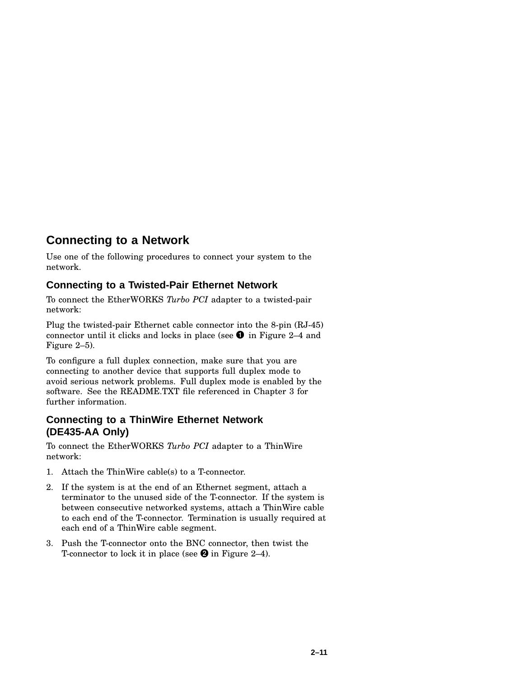### **Connecting to a Network**

Use one of the following procedures to connect your system to the network.

### **Connecting to a Twisted-Pair Ethernet Network**

To connect the EtherWORKS *Turbo PCI* adapter to a twisted-pair network:

Plug the twisted-pair Ethernet cable connector into the 8-pin (RJ-45) connector until it clicks and locks in place (see  $\bullet$  in Figure 2–4 and Figure 2–5).

To configure a full duplex connection, make sure that you are connecting to another device that supports full duplex mode to avoid serious network problems. Full duplex mode is enabled by the software. See the README.TXT file referenced in Chapter 3 for further information.

### **Connecting to a ThinWire Ethernet Network (DE435-AA Only)**

To connect the EtherWORKS *Turbo PCI* adapter to a ThinWire network:

- 1. Attach the ThinWire cable(s) to a T-connector.
- 2. If the system is at the end of an Ethernet segment, attach a terminator to the unused side of the T-connector. If the system is between consecutive networked systems, attach a ThinWire cable to each end of the T-connector. Termination is usually required at each end of a ThinWire cable segment.
- 3. Push the T-connector onto the BNC connector, then twist the T-connector to lock it in place (see  $\bullet$  in Figure 2–4).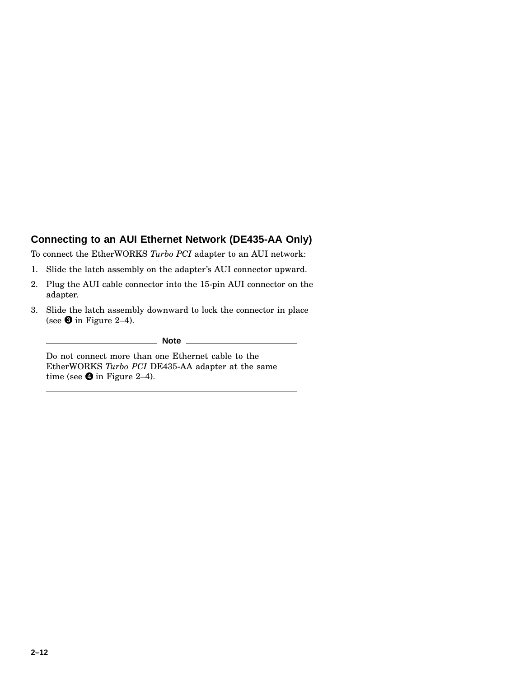### **Connecting to an AUI Ethernet Network (DE435-AA Only)**

To connect the EtherWORKS *Turbo PCI* adapter to an AUI network:

- 1. Slide the latch assembly on the adapter's AUI connector upward.
- 2. Plug the AUI cable connector into the 15-pin AUI connector on the adapter.
- 3. Slide the latch assembly downward to lock the connector in place (see  $\bf 3$  in Figure 2–4).

**Note**

Do not connect more than one Ethernet cable to the EtherWORKS *Turbo PCI* DE435-AA adapter at the same time (see  $\bullet$  in Figure 2–4).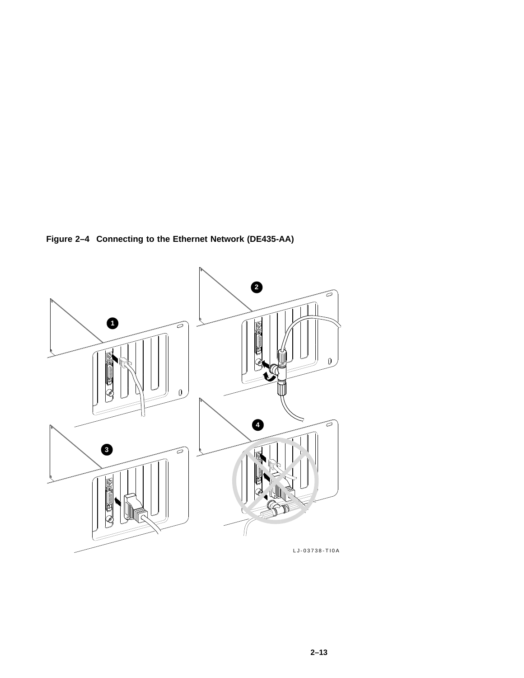**Figure 2–4 Connecting to the Ethernet Network (DE435-AA)**

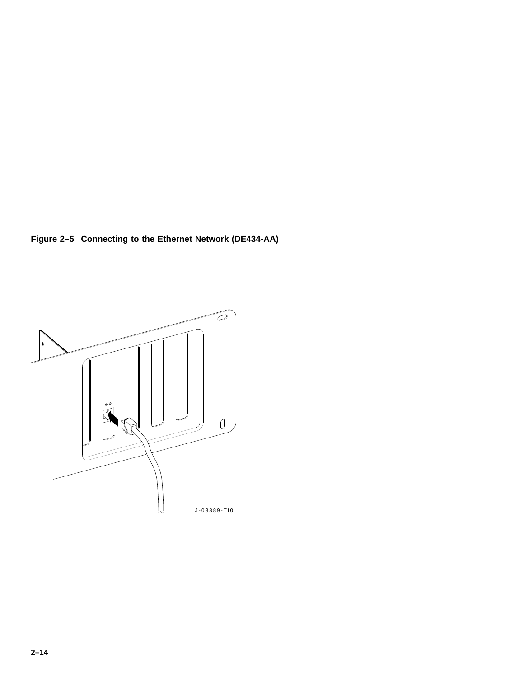**Figure 2–5 Connecting to the Ethernet Network (DE434-AA)**

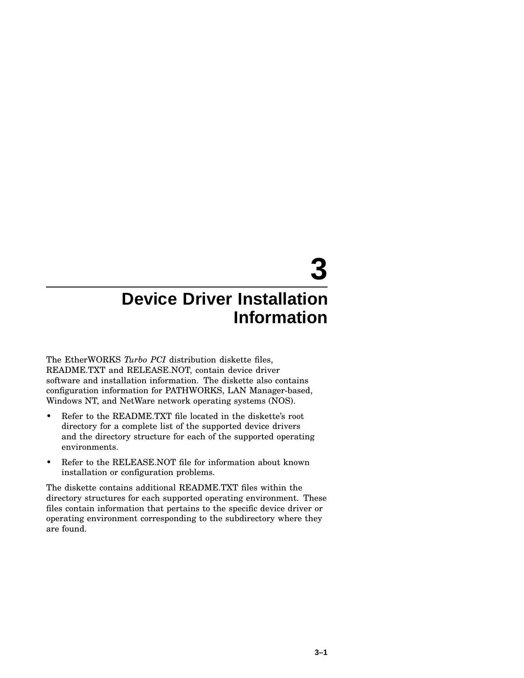# **3**

### **Device Driver Installation Information**

The EtherWORKS *Turbo PCI* distribution diskette files, README.TXT and RELEASE.NOT, contain device driver software and installation information. The diskette also contains configuration information for PATHWORKS, LAN Manager-based, Windows NT, and NetWare network operating systems (NOS).

- Refer to the README.TXT file located in the diskette's root directory for a complete list of the supported device drivers and the directory structure for each of the supported operating environments.
- Refer to the RELEASE.NOT file for information about known installation or configuration problems.

The diskette contains additional README.TXT files within the directory structures for each supported operating environment. These files contain information that pertains to the specific device driver or operating environment corresponding to the subdirectory where they are found.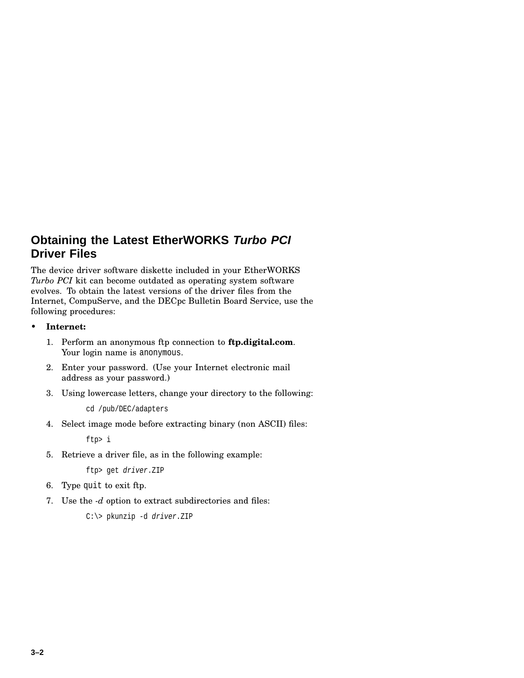### **Obtaining the Latest EtherWORKS Turbo PCI Driver Files**

The device driver software diskette included in your EtherWORKS *Turbo PCI* kit can become outdated as operating system software evolves. To obtain the latest versions of the driver files from the Internet, CompuServe, and the DECpc Bulletin Board Service, use the following procedures:

- **Internet:**
	- 1. Perform an anonymous ftp connection to **ftp.digital.com**. Your login name is anonymous.
	- 2. Enter your password. (Use your Internet electronic mail address as your password.)
	- 3. Using lowercase letters, change your directory to the following:

cd /pub/DEC/adapters

4. Select image mode before extracting binary (non ASCII) files:

ftp> i

5. Retrieve a driver file, as in the following example:

ftp> get driver.ZIP

- 6. Type quit to exit ftp.
- 7. Use the *-d* option to extract subdirectories and files:

```
C:\> pkunzip -d driver.ZIP
```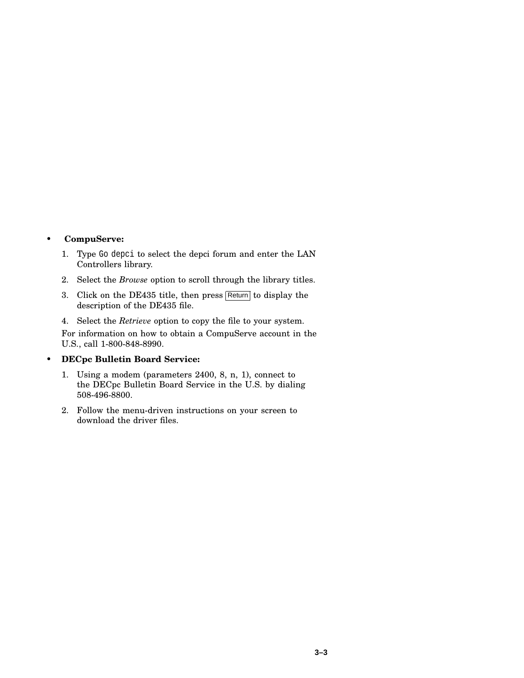• **CompuServe:**

- 1. Type Go depci to select the depci forum and enter the LAN Controllers library.
- 2. Select the *Browse* option to scroll through the library titles.
- 3. Click on the DE435 title, then press Return to display the description of the DE435 file.
- 4. Select the *Retrieve* option to copy the file to your system.

For information on how to obtain a CompuServe account in the U.S., call 1-800-848-8990.

### • **DECpc Bulletin Board Service:**

- 1. Using a modem (parameters 2400, 8, n, 1), connect to the DECpc Bulletin Board Service in the U.S. by dialing 508-496-8800.
- 2. Follow the menu-driven instructions on your screen to download the driver files.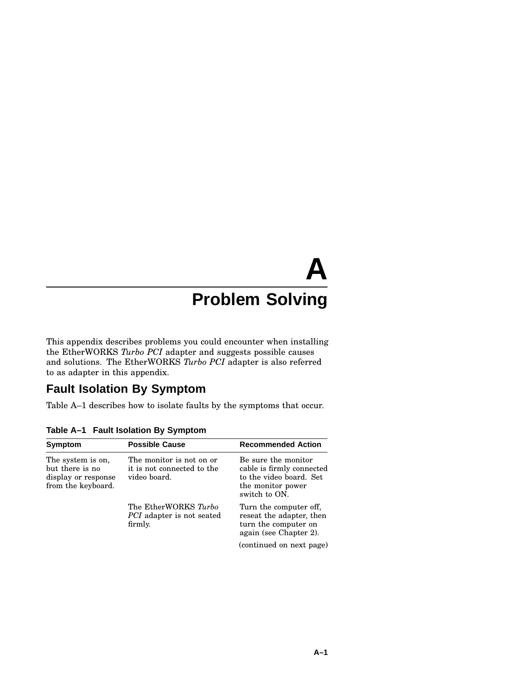# **A Problem Solving**

This appendix describes problems you could encounter when installing the EtherWORKS *Turbo PCI* adapter and suggests possible causes and solutions. The EtherWORKS *Turbo PCI* adapter is also referred to as adapter in this appendix.

### **Fault Isolation By Symptom**

Table A–1 describes how to isolate faults by the symptoms that occur.

| Symptom                                                                           | <b>Possible Cause</b>                                                  | <b>Recommended Action</b>                                                                                         |
|-----------------------------------------------------------------------------------|------------------------------------------------------------------------|-------------------------------------------------------------------------------------------------------------------|
| The system is on,<br>but there is no<br>display or response<br>from the keyboard. | The monitor is not on or<br>it is not connected to the<br>video board. | Be sure the monitor<br>cable is firmly connected<br>to the video board. Set<br>the monitor power<br>switch to ON. |
|                                                                                   | The EtherWORKS Turbo<br><i>PCI</i> adapter is not seated<br>firmly.    | Turn the computer off,<br>reseat the adapter, then<br>turn the computer on<br>again (see Chapter 2).              |
|                                                                                   |                                                                        | (continued on next page)                                                                                          |

**Table A–1 Fault Isolation By Symptom**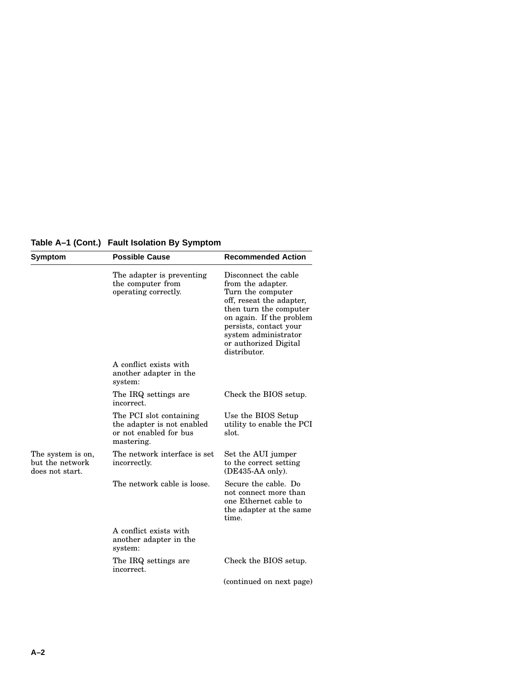**Table A–1 (Cont.) Fault Isolation By Symptom**

| Symptom                                                 | <b>Possible Cause</b>                                                                         | <b>Recommended Action</b>                                                                                                                                                                                                                   |
|---------------------------------------------------------|-----------------------------------------------------------------------------------------------|---------------------------------------------------------------------------------------------------------------------------------------------------------------------------------------------------------------------------------------------|
|                                                         | The adapter is preventing<br>the computer from<br>operating correctly.                        | Disconnect the cable<br>from the adapter.<br>Turn the computer<br>off, reseat the adapter,<br>then turn the computer<br>on again. If the problem<br>persists, contact your<br>system administrator<br>or authorized Digital<br>distributor. |
|                                                         | A conflict exists with<br>another adapter in the<br>system:                                   |                                                                                                                                                                                                                                             |
|                                                         | The IRQ settings are<br>incorrect.                                                            | Check the BIOS setup.                                                                                                                                                                                                                       |
|                                                         | The PCI slot containing<br>the adapter is not enabled<br>or not enabled for bus<br>mastering. | Use the BIOS Setup<br>utility to enable the PCI<br>slot.                                                                                                                                                                                    |
| The system is on,<br>but the network<br>does not start. | The network interface is set<br>incorrectly.                                                  | Set the AUI jumper<br>to the correct setting<br>$(DE435-AA)$ only).                                                                                                                                                                         |
|                                                         | The network cable is loose.                                                                   | Secure the cable. Do<br>not connect more than<br>one Ethernet cable to<br>the adapter at the same<br>time.                                                                                                                                  |
|                                                         | A conflict exists with<br>another adapter in the<br>system:                                   |                                                                                                                                                                                                                                             |
|                                                         | The IRQ settings are<br>incorrect.                                                            | Check the BIOS setup.                                                                                                                                                                                                                       |
|                                                         |                                                                                               | (continued on next page)                                                                                                                                                                                                                    |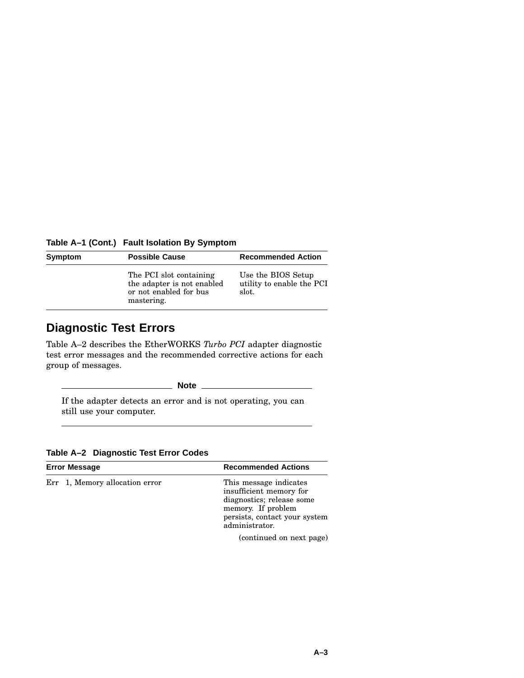**Table A–1 (Cont.) Fault Isolation By Symptom**

| Symptom | <b>Possible Cause</b>                                                                         | <b>Recommended Action</b>                                |  |
|---------|-----------------------------------------------------------------------------------------------|----------------------------------------------------------|--|
|         | The PCI slot containing<br>the adapter is not enabled<br>or not enabled for bus<br>mastering. | Use the BIOS Setup<br>utility to enable the PCI<br>slot. |  |

### **Diagnostic Test Errors**

Table A–2 describes the EtherWORKS *Turbo PCI* adapter diagnostic test error messages and the recommended corrective actions for each group of messages.

**Note**

If the adapter detects an error and is not operating, you can still use your computer.

**Table A–2 Diagnostic Test Error Codes**

| <b>Error Message</b>           | <b>Recommended Actions</b>                                                                                                                              |  |
|--------------------------------|---------------------------------------------------------------------------------------------------------------------------------------------------------|--|
| Err 1, Memory allocation error | This message indicates<br>insufficient memory for<br>diagnostics; release some<br>memory. If problem<br>persists, contact your system<br>administrator. |  |
|                                | (continued on next page)                                                                                                                                |  |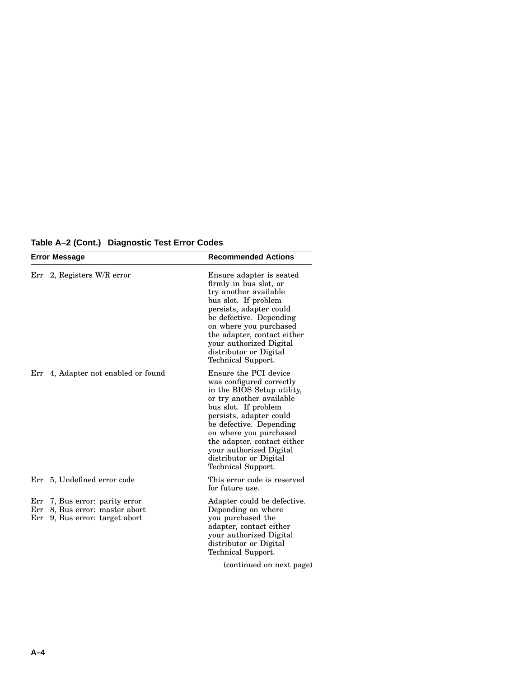|  | Table A-2 (Cont.) Diagnostic Test Error Codes |  |
|--|-----------------------------------------------|--|
|--|-----------------------------------------------|--|

| <b>Error Message</b>         |                                                                                            | <b>Recommended Actions</b><br>Ensure adapter is seated<br>firmly in bus slot, or<br>try another available<br>bus slot. If problem<br>persists, adapter could<br>be defective. Depending<br>on where you purchased<br>the adapter, contact either<br>your authorized Digital<br>distributor or Digital<br>Technical Support.   |  |
|------------------------------|--------------------------------------------------------------------------------------------|-------------------------------------------------------------------------------------------------------------------------------------------------------------------------------------------------------------------------------------------------------------------------------------------------------------------------------|--|
| $Err$ 2, Registers W/R error |                                                                                            |                                                                                                                                                                                                                                                                                                                               |  |
|                              | Err 4, Adapter not enabled or found                                                        | Ensure the PCI device<br>was configured correctly<br>in the BIOS Setup utility,<br>or try another available<br>bus slot. If problem<br>persists, adapter could<br>be defective. Depending<br>on where you purchased<br>the adapter, contact either<br>your authorized Digital<br>distributor or Digital<br>Technical Support. |  |
| Err                          | 5, Undefined error code                                                                    | This error code is reserved<br>for future use.                                                                                                                                                                                                                                                                                |  |
| Err<br>Err                   | Err 7, Bus error: parity error<br>8, Bus error: master abort<br>9, Bus error: target abort | Adapter could be defective.<br>Depending on where<br>you purchased the<br>adapter, contact either<br>your authorized Digital<br>distributor or Digital<br>Technical Support.<br>(continued on next page)                                                                                                                      |  |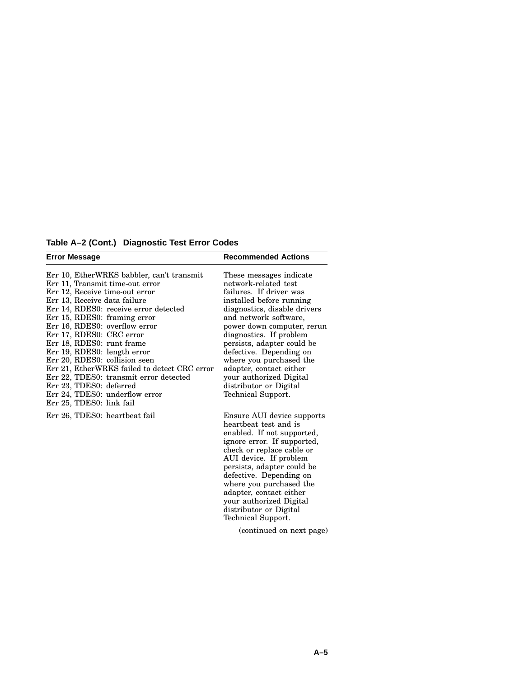**Table A–2 (Cont.) Diagnostic Test Error Codes**

| <b>Error Message</b>                                                                                                                                                                                                                                                                                                                                                                                                                                                                                                                                                 | <b>Recommended Actions</b>                                                                                                                                                                                                                                                                                                                                                                                         |
|----------------------------------------------------------------------------------------------------------------------------------------------------------------------------------------------------------------------------------------------------------------------------------------------------------------------------------------------------------------------------------------------------------------------------------------------------------------------------------------------------------------------------------------------------------------------|--------------------------------------------------------------------------------------------------------------------------------------------------------------------------------------------------------------------------------------------------------------------------------------------------------------------------------------------------------------------------------------------------------------------|
| Err 10, EtherWRKS babbler, can't transmit<br>Err 11, Transmit time-out error<br>Err 12, Receive time-out error<br>Err 13, Receive data failure<br>Err 14, RDES0: receive error detected<br>Err 15, RDES0: framing error<br>Err 16, RDES0: overflow error<br>Err 17, RDES0: CRC error<br>Err 18, RDES0: runt frame<br>Err 19, RDES0: length error<br>Err 20, RDES0: collision seen<br>Err 21, EtherWRKS failed to detect CRC error<br>Err 22, TDES0: transmit error detected<br>Err 23, TDES0: deferred<br>Err 24, TDES0: underflow error<br>Err 25, TDES0: link fail | These messages indicate<br>network-related test<br>failures. If driver was<br>installed before running<br>diagnostics, disable drivers<br>and network software,<br>power down computer, rerun<br>diagnostics. If problem<br>persists, adapter could be<br>defective. Depending on<br>where you purchased the<br>adapter, contact either<br>your authorized Digital<br>distributor or Digital<br>Technical Support. |
| Err 26, TDES0: heartbeat fail                                                                                                                                                                                                                                                                                                                                                                                                                                                                                                                                        | Ensure AUI device supports<br>heartheat test and is<br>enabled. If not supported,<br>ignore error. If supported,<br>check or replace cable or<br>AUI device. If problem<br>persists, adapter could be<br>defective. Depending on<br>where you purchased the<br>adapter, contact either<br>your authorized Digital<br>distributor or Digital<br>Technical Support.<br>(continued on next page)                      |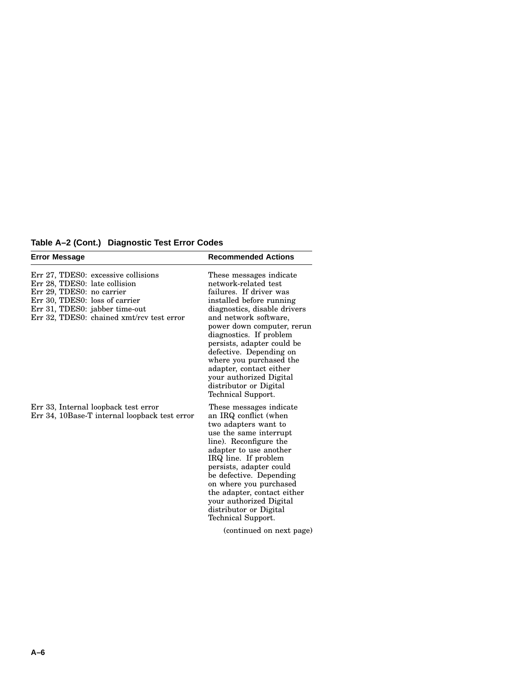**Table A–2 (Cont.) Diagnostic Test Error Codes**

| <b>Error Message</b>                                                                                                                                                                                               | <b>Recommended Actions</b>                                                                                                                                                                                                                                                                                                                                                                                         |  |
|--------------------------------------------------------------------------------------------------------------------------------------------------------------------------------------------------------------------|--------------------------------------------------------------------------------------------------------------------------------------------------------------------------------------------------------------------------------------------------------------------------------------------------------------------------------------------------------------------------------------------------------------------|--|
| Err 27, TDES0: excessive collisions<br>Err 28, TDES0: late collision<br>Err 29, TDES0: no carrier<br>Err 30, TDES0: loss of carrier<br>Err 31, TDES0: jabber time-out<br>Err 32, TDES0: chained xmt/rcv test error | These messages indicate<br>network-related test<br>failures. If driver was<br>installed before running<br>diagnostics, disable drivers<br>and network software,<br>power down computer, rerun<br>diagnostics. If problem<br>persists, adapter could be<br>defective. Depending on<br>where you purchased the<br>adapter, contact either<br>your authorized Digital<br>distributor or Digital<br>Technical Support. |  |
| Err 33, Internal loopback test error<br>Err 34, 10Base-T internal loopback test error                                                                                                                              | These messages indicate<br>an IRQ conflict (when<br>two adapters want to<br>use the same interrupt<br>line). Reconfigure the<br>adapter to use another<br>IRQ line. If problem<br>persists, adapter could<br>be defective. Depending<br>on where you purchased<br>the adapter, contact either<br>your authorized Digital<br>distributor or Digital<br>Technical Support.                                           |  |
|                                                                                                                                                                                                                    | (continued on next page)                                                                                                                                                                                                                                                                                                                                                                                           |  |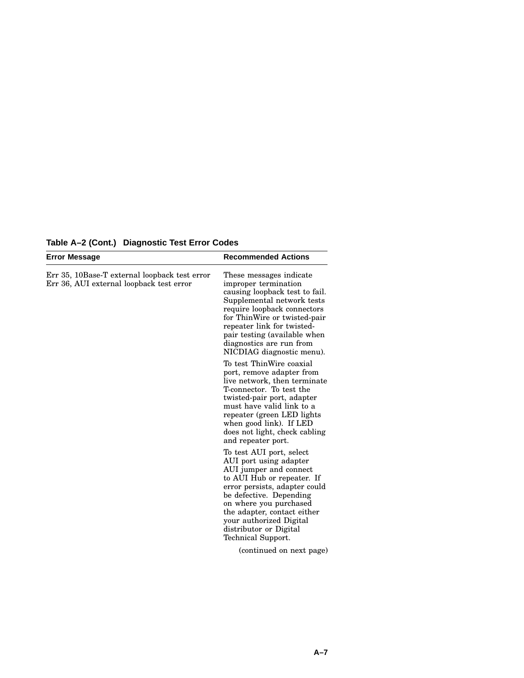| <b>Error Message</b>                                                                      | <b>Recommended Actions</b>                                                                                                                                                                                                                                                                                 |  |
|-------------------------------------------------------------------------------------------|------------------------------------------------------------------------------------------------------------------------------------------------------------------------------------------------------------------------------------------------------------------------------------------------------------|--|
| Err 35, 10Base-T external loopback test error<br>Err 36, AUI external loopback test error | These messages indicate<br>improper termination<br>causing loopback test to fail.<br>Supplemental network tests<br>require loopback connectors<br>for ThinWire or twisted-pair<br>repeater link for twisted-<br>pair testing (available when<br>diagnostics are run from<br>NICDIAG diagnostic menu).      |  |
|                                                                                           | To test ThinWire coaxial<br>port, remove adapter from<br>live network, then terminate<br>T-connector. To test the<br>twisted-pair port, adapter<br>must have valid link to a<br>repeater (green LED lights<br>when good link). If LED<br>does not light, check cabling<br>and repeater port.               |  |
|                                                                                           | To test AUI port, select<br>AUI port using adapter<br>AUI jumper and connect<br>to AUI Hub or repeater. If<br>error persists, adapter could<br>be defective. Depending<br>on where you purchased<br>the adapter, contact either<br>your authorized Digital<br>distributor or Digital<br>Technical Support. |  |
|                                                                                           | (continued on next page)                                                                                                                                                                                                                                                                                   |  |

**Table A–2 (Cont.) Diagnostic Test Error Codes**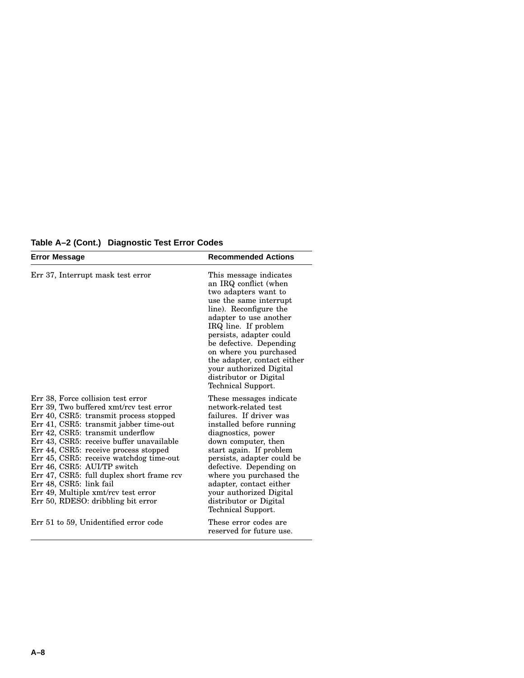**Table A–2 (Cont.) Diagnostic Test Error Codes**

| Error Message                                                                                                                                                                                                                                                                                                                                                                                                                                                                                                             | <b>Recommended Actions</b>                                                                                                                                                                                                                                                                                                                                               |  |
|---------------------------------------------------------------------------------------------------------------------------------------------------------------------------------------------------------------------------------------------------------------------------------------------------------------------------------------------------------------------------------------------------------------------------------------------------------------------------------------------------------------------------|--------------------------------------------------------------------------------------------------------------------------------------------------------------------------------------------------------------------------------------------------------------------------------------------------------------------------------------------------------------------------|--|
| Err 37, Interrupt mask test error                                                                                                                                                                                                                                                                                                                                                                                                                                                                                         | This message indicates<br>an IRQ conflict (when<br>two adapters want to<br>use the same interrupt<br>line). Reconfigure the<br>adapter to use another<br>IRQ line. If problem<br>persists, adapter could<br>be defective. Depending<br>on where you purchased<br>the adapter, contact either<br>your authorized Digital<br>distributor or Digital<br>Technical Support.  |  |
| Err 38, Force collision test error<br>Err 39, Two buffered xmt/rcv test error<br>Err 40, CSR5: transmit process stopped<br>Err 41, CSR5: transmit jabber time-out<br>Err 42, CSR5: transmit underflow<br>Err 43, CSR5: receive buffer unavailable<br>Err 44, CSR5: receive process stopped<br>Err 45, CSR5: receive watchdog time-out<br>Err 46, CSR5: AUI/TP switch<br>Err 47, CSR5: full duplex short frame rcv<br>Err 48, CSR5: link fail<br>Err 49, Multiple xmt/rcv test error<br>Err 50, RDESO: dribbling bit error | These messages indicate<br>network-related test<br>failures. If driver was<br>installed before running<br>diagnostics, power<br>down computer, then<br>start again. If problem<br>persists, adapter could be<br>defective. Depending on<br>where you purchased the<br>adapter, contact either<br>your authorized Digital<br>distributor or Digital<br>Technical Support. |  |
| Err 51 to 59, Unidentified error code                                                                                                                                                                                                                                                                                                                                                                                                                                                                                     | These error codes are<br>reserved for future use.                                                                                                                                                                                                                                                                                                                        |  |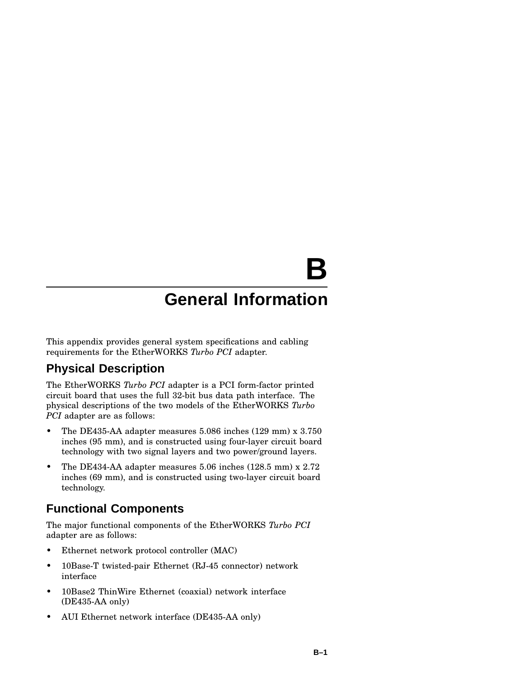# **B**

## **General Information**

This appendix provides general system specifications and cabling requirements for the EtherWORKS *Turbo PCI* adapter.

### **Physical Description**

The EtherWORKS *Turbo PCI* adapter is a PCI form-factor printed circuit board that uses the full 32-bit bus data path interface. The physical descriptions of the two models of the EtherWORKS *Turbo PCI* adapter are as follows:

- The DE435-AA adapter measures 5.086 inches (129 mm) x 3.750 inches (95 mm), and is constructed using four-layer circuit board technology with two signal layers and two power/ground layers.
- The DE434-AA adapter measures 5.06 inches (128.5 mm) x 2.72 inches (69 mm), and is constructed using two-layer circuit board technology.

### **Functional Components**

The major functional components of the EtherWORKS *Turbo PCI* adapter are as follows:

- Ethernet network protocol controller (MAC)
- 10Base-T twisted-pair Ethernet (RJ-45 connector) network interface
- 10Base2 ThinWire Ethernet (coaxial) network interface (DE435-AA only)
- AUI Ethernet network interface (DE435-AA only)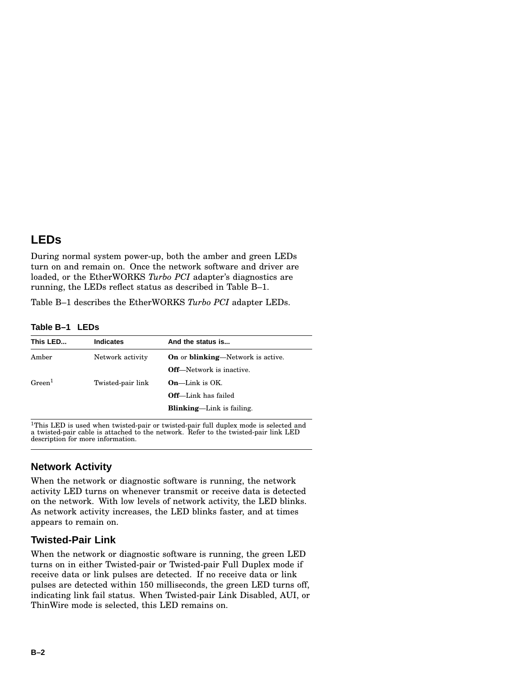### **LEDs**

During normal system power-up, both the amber and green LEDs turn on and remain on. Once the network software and driver are loaded, or the EtherWORKS *Turbo PCI* adapter's diagnostics are running, the LEDs reflect status as described in Table B–1.

Table B–1 describes the EtherWORKS *Turbo PCI* adapter LEDs.

**Table B–1 LEDs**

| This LED           | <b>Indicates</b>  | And the status is                                |
|--------------------|-------------------|--------------------------------------------------|
| Amber              | Network activity  | <b>On</b> or <b>blinking</b> —Network is active. |
|                    |                   | <b>Off</b> —Network is inactive.                 |
| Green <sup>1</sup> | Twisted-pair link | $On$ —Link is OK.                                |
|                    |                   | <b>Off</b> —Link has failed                      |
|                    |                   | <b>Blinking—Link</b> is failing.                 |
|                    |                   |                                                  |

 $\rm ^1This$  LED is used when twisted-pair or twisted-pair full duplex mode is selected and a twisted-pair cable is attached to the network. Refer to the twisted-pair link LED description for more information.

### **Network Activity**

When the network or diagnostic software is running, the network activity LED turns on whenever transmit or receive data is detected on the network. With low levels of network activity, the LED blinks. As network activity increases, the LED blinks faster, and at times appears to remain on.

### **Twisted-Pair Link**

When the network or diagnostic software is running, the green LED turns on in either Twisted-pair or Twisted-pair Full Duplex mode if receive data or link pulses are detected. If no receive data or link pulses are detected within 150 milliseconds, the green LED turns off, indicating link fail status. When Twisted-pair Link Disabled, AUI, or ThinWire mode is selected, this LED remains on.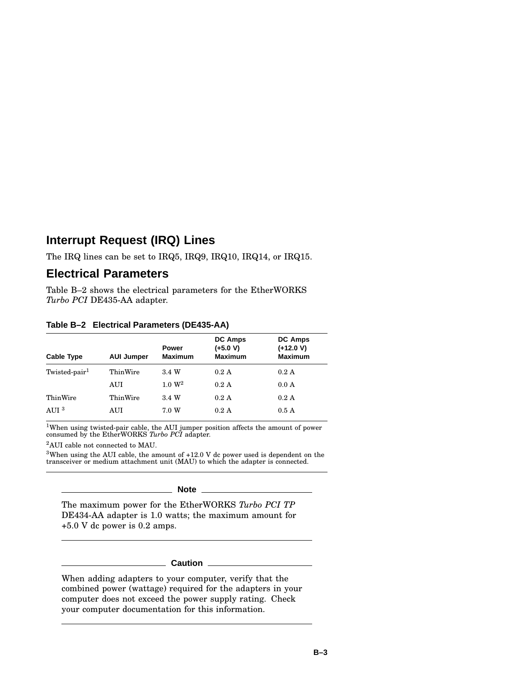### **Interrupt Request (IRQ) Lines**

The IRQ lines can be set to IRQ5, IRQ9, IRQ10, IRQ14, or IRQ15.

### **Electrical Parameters**

Table B–2 shows the electrical parameters for the EtherWORKS *Turbo PCI* DE435-AA adapter.

| <b>Cable Type</b>         | <b>AUI Jumper</b> | <b>Power</b><br><b>Maximum</b> | <b>DC Amps</b><br>$(+5.0 V)$<br><b>Maximum</b> | DC Amps<br>$(+12.0 V)$<br><b>Maximum</b> |
|---------------------------|-------------------|--------------------------------|------------------------------------------------|------------------------------------------|
| Twisted-pair <sup>1</sup> | ThinWire          | 3.4 W                          | 0.2 A                                          | 0.2 A                                    |
|                           | AUI               | 1.0 W <sup>2</sup>             | 0.2A                                           | 0.0 A                                    |
| ThinWire                  | ThinWire          | 3.4 W                          | 0.2 A                                          | 0.2 A                                    |
| AUI <sup>3</sup>          | AUI               | 7.0 W                          | 0.2A                                           | 0.5A                                     |

**Table B–2 Electrical Parameters (DE435-AA)**

<sup>1</sup>When using twisted-pair cable, the AUI jumper position affects the amount of power consumed by the EtherWORKS *Turbo PCI* adapter.

<sup>2</sup>AUI cable not connected to MAU.

 $^3$ When using the AUI cable, the amount of +12.0 V dc power used is dependent on the transceiver or medium attachment unit (MAU) to which the adapter is connected.

### **Note** \_\_\_

The maximum power for the EtherWORKS *Turbo PCI TP* DE434-AA adapter is 1.0 watts; the maximum amount for +5.0 V dc power is 0.2 amps.

### **Caution**

When adding adapters to your computer, verify that the combined power (wattage) required for the adapters in your computer does not exceed the power supply rating. Check your computer documentation for this information.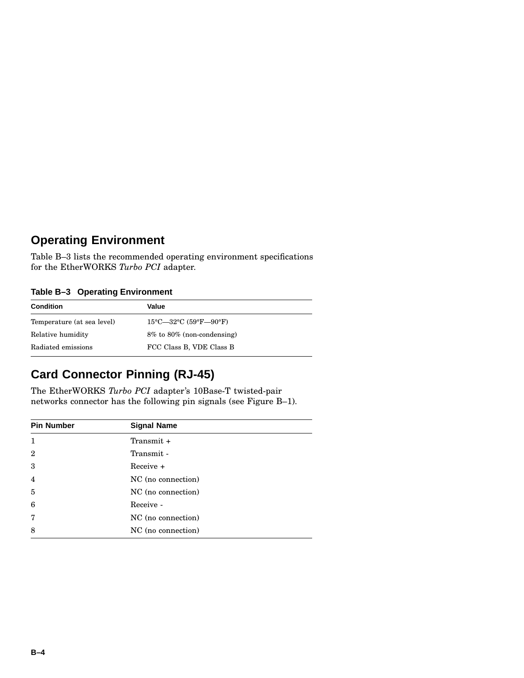### **Operating Environment**

Table B–3 lists the recommended operating environment specifications for the EtherWORKS *Turbo PCI* adapter.

### **Table B–3 Operating Environment**

| <b>Condition</b>           | Value                                                            |  |
|----------------------------|------------------------------------------------------------------|--|
| Temperature (at sea level) | $15^{\circ}$ C—32 $^{\circ}$ C (59 $^{\circ}$ F—90 $^{\circ}$ F) |  |
| Relative humidity          | 8% to 80% (non-condensing)                                       |  |
| Radiated emissions         | FCC Class B, VDE Class B                                         |  |

### **Card Connector Pinning (RJ-45)**

The EtherWORKS *Turbo PCI* adapter's 10Base-T twisted-pair networks connector has the following pin signals (see Figure B–1).

| <b>Pin Number</b> | <b>Signal Name</b> |  |
|-------------------|--------------------|--|
| 1                 | Transmit $+$       |  |
| $\overline{2}$    | Transmit -         |  |
| 3                 | $Receive +$        |  |
| $\overline{4}$    | NC (no connection) |  |
| 5                 | NC (no connection) |  |
| 6                 | Receive -          |  |
| 7                 | NC (no connection) |  |
| 8                 | NC (no connection) |  |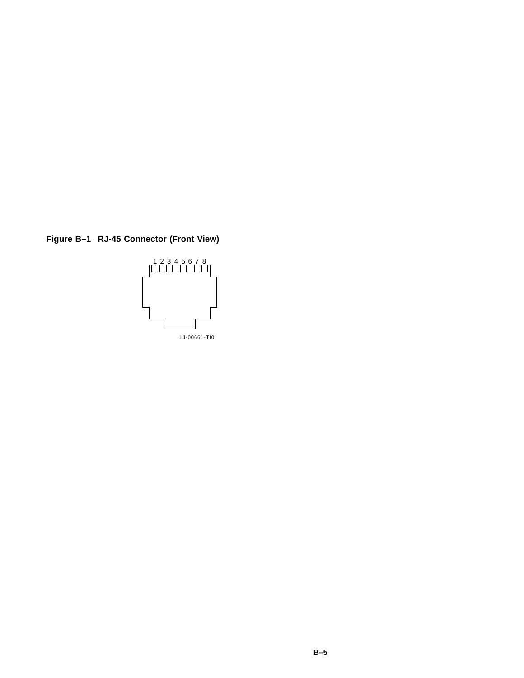**Figure B–1 RJ-45 Connector (Front View)**

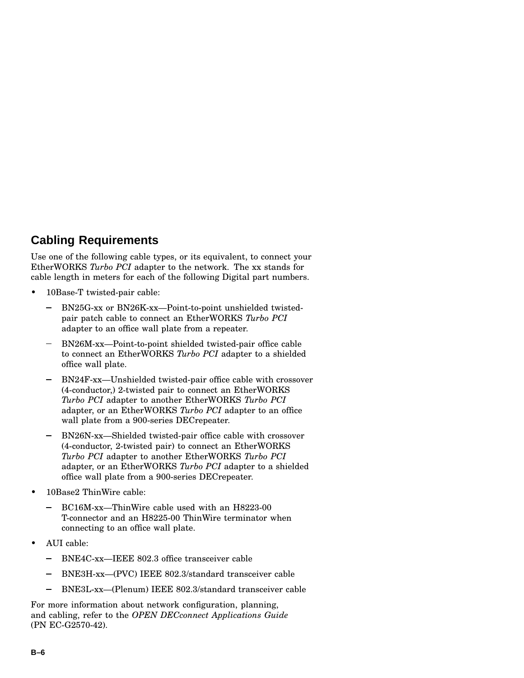### **Cabling Requirements**

Use one of the following cable types, or its equivalent, to connect your EtherWORKS *Turbo PCI* adapter to the network. The xx stands for cable length in meters for each of the following Digital part numbers.

- 10Base-T twisted-pair cable:
	- BN25G-xx or BN26K-xx—Point-to-point unshielded twistedpair patch cable to connect an EtherWORKS *Turbo PCI* adapter to an office wall plate from a repeater.
	- BN26M-xx—Point-to-point shielded twisted-pair office cable to connect an EtherWORKS *Turbo PCI* adapter to a shielded office wall plate.
	- BN24F-xx—Unshielded twisted-pair office cable with crossover (4-conductor,) 2-twisted pair to connect an EtherWORKS *Turbo PCI* adapter to another EtherWORKS *Turbo PCI* adapter, or an EtherWORKS *Turbo PCI* adapter to an office wall plate from a 900-series DECrepeater.
	- BN26N-xx—Shielded twisted-pair office cable with crossover (4-conductor, 2-twisted pair) to connect an EtherWORKS *Turbo PCI* adapter to another EtherWORKS *Turbo PCI* adapter, or an EtherWORKS *Turbo PCI* adapter to a shielded office wall plate from a 900-series DECrepeater.
- 10Base2 ThinWire cable:
	- BC16M-xx—ThinWire cable used with an H8223-00 T-connector and an H8225-00 ThinWire terminator when connecting to an office wall plate.
- AUI cable:
	- BNE4C-xx—IEEE 802.3 office transceiver cable
	- BNE3H-xx—(PVC) IEEE 802.3/standard transceiver cable
	- BNE3L-xx—(Plenum) IEEE 802.3/standard transceiver cable

For more information about network configuration, planning, and cabling, refer to the *OPEN DECconnect Applications Guide* (PN EC-G2570-42).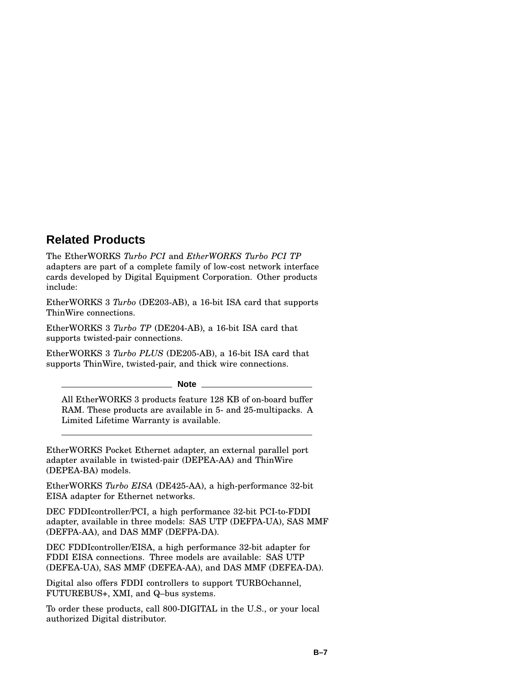### **Related Products**

The EtherWORKS *Turbo PCI* and *EtherWORKS Turbo PCI TP* adapters are part of a complete family of low-cost network interface cards developed by Digital Equipment Corporation. Other products include:

EtherWORKS 3 *Turbo* (DE203-AB), a 16-bit ISA card that supports ThinWire connections.

EtherWORKS 3 *Turbo TP* (DE204-AB), a 16-bit ISA card that supports twisted-pair connections.

EtherWORKS 3 *Turbo PLUS* (DE205-AB), a 16-bit ISA card that supports ThinWire, twisted-pair, and thick wire connections.

**Note**

All EtherWORKS 3 products feature 128 KB of on-board buffer RAM. These products are available in 5- and 25-multipacks. A Limited Lifetime Warranty is available.

EtherWORKS Pocket Ethernet adapter, an external parallel port adapter available in twisted-pair (DEPEA-AA) and ThinWire (DEPEA-BA) models.

EtherWORKS *Turbo EISA* (DE425-AA), a high-performance 32-bit EISA adapter for Ethernet networks.

DEC FDDIcontroller/PCI, a high performance 32-bit PCI-to-FDDI adapter, available in three models: SAS UTP (DEFPA-UA), SAS MMF (DEFPA-AA), and DAS MMF (DEFPA-DA).

DEC FDDIcontroller/EISA, a high performance 32-bit adapter for FDDI EISA connections. Three models are available: SAS UTP (DEFEA-UA), SAS MMF (DEFEA-AA), and DAS MMF (DEFEA-DA).

Digital also offers FDDI controllers to support TURBOchannel, FUTUREBUS+, XMI, and Q–bus systems.

To order these products, call 800-DIGITAL in the U.S., or your local authorized Digital distributor.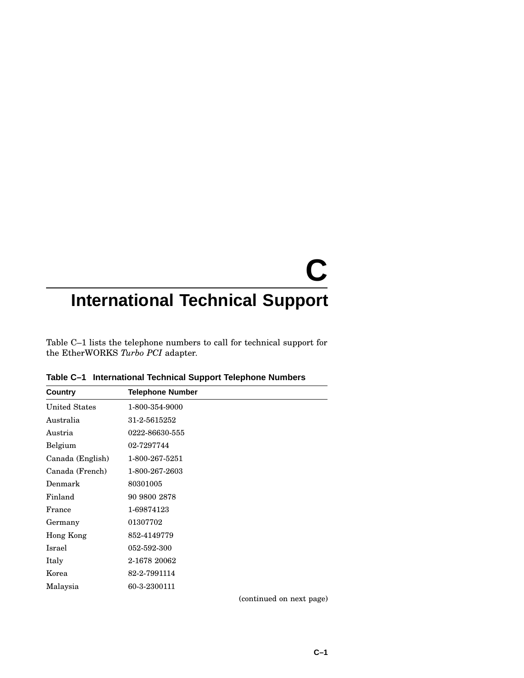# **C**

# **International Technical Support**

Table C–1 lists the telephone numbers to call for technical support for the EtherWORKS *Turbo PCI* adapter.

| Country              | <b>Telephone Number</b> |
|----------------------|-------------------------|
| <b>United States</b> | 1-800-354-9000          |
| Australia            | 31-2-5615252            |
| Austria              | 0222-86630-555          |
| Belgium              | 02-7297744              |
| Canada (English)     | 1-800-267-5251          |
| Canada (French)      | 1-800-267-2603          |
| Denmark              | 80301005                |
| Finland              | 90 9800 2878            |
| France               | 1-69874123              |
| Germany              | 01307702                |
| Hong Kong            | 852-4149779             |
| Israel               | 052-592-300             |
| Italy                | 2-1678 20062            |
| Korea                | 82-2-7991114            |
| Malaysia             | 60-3-2300111            |

**Table C–1 International Technical Support Telephone Numbers**

(continued on next page)